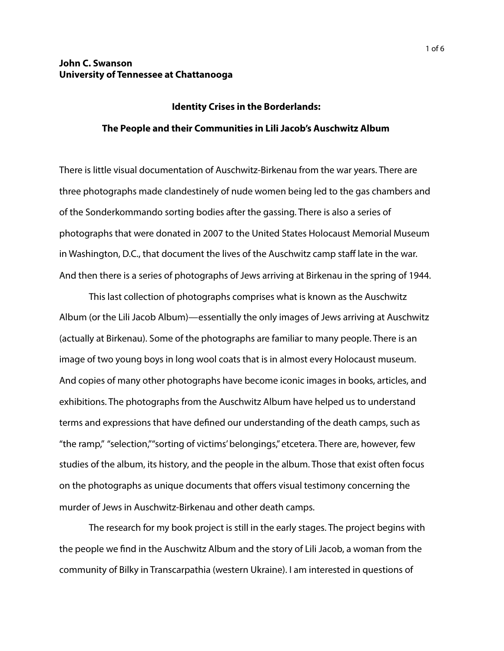## **John C. Swanson University of Tennessee at Chattanooga**

## **Identity Crises in the Borderlands:**

## **The People and their Communities in Lili Jacob's Auschwitz Album**

There is little visual documentation of Auschwitz-Birkenau from the war years. There are three photographs made clandestinely of nude women being led to the gas chambers and of the Sonderkommando sorting bodies after the gassing. There is also a series of photographs that were donated in 2007 to the United States Holocaust Memorial Museum in Washington, D.C., that document the lives of the Auschwitz camp staff late in the war. And then there is a series of photographs of Jews arriving at Birkenau in the spring of 1944.

 This last collection of photographs comprises what is known as the Auschwitz Album (or the Lili Jacob Album)—essentially the only images of Jews arriving at Auschwitz (actually at Birkenau). Some of the photographs are familiar to many people. There is an image of two young boys in long wool coats that is in almost every Holocaust museum. And copies of many other photographs have become iconic images in books, articles, and exhibitions. The photographs from the Auschwitz Album have helped us to understand terms and expressions that have defned our understanding of the death camps, such as "the ramp," "selection,""sorting of victims' belongings," etcetera. There are, however, few studies of the album, its history, and the people in the album. Those that exist often focus on the photographs as unique documents that offers visual testimony concerning the murder of Jews in Auschwitz-Birkenau and other death camps.

 The research for my book project is still in the early stages. The project begins with the people we fnd in the Auschwitz Album and the story of Lili Jacob, a woman from the community of Bilky in Transcarpathia (western Ukraine). I am interested in questions of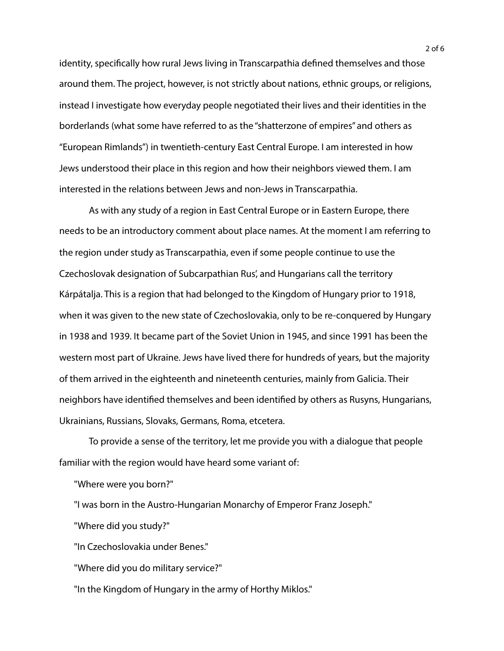identity, specifcally how rural Jews living in Transcarpathia defned themselves and those around them. The project, however, is not strictly about nations, ethnic groups, or religions, instead I investigate how everyday people negotiated their lives and their identities in the borderlands (what some have referred to as the "shatterzone of empires" and others as "European Rimlands") in twentieth-century East Central Europe. I am interested in how Jews understood their place in this region and how their neighbors viewed them. I am interested in the relations between Jews and non-Jews in Transcarpathia.

 As with any study of a region in East Central Europe or in Eastern Europe, there needs to be an introductory comment about place names. At the moment I am referring to the region under study as Transcarpathia, even if some people continue to use the Czechoslovak designation of Subcarpathian Rus', and Hungarians call the territory Kárpátalja. This is a region that had belonged to the Kingdom of Hungary prior to 1918, when it was given to the new state of Czechoslovakia, only to be re-conquered by Hungary in 1938 and 1939. It became part of the Soviet Union in 1945, and since 1991 has been the western most part of Ukraine. Jews have lived there for hundreds of years, but the majority of them arrived in the eighteenth and nineteenth centuries, mainly from Galicia. Their neighbors have identifed themselves and been identifed by others as Rusyns, Hungarians, Ukrainians, Russians, Slovaks, Germans, Roma, etcetera.

 To provide a sense of the territory, let me provide you with a dialogue that people familiar with the region would have heard some variant of:

"Where were you born?"

"I was born in the Austro-Hungarian Monarchy of Emperor Franz Joseph."

"Where did you study?"

"In Czechoslovakia under Benes."

"Where did you do military service?"

"In the Kingdom of Hungary in the army of Horthy Miklos."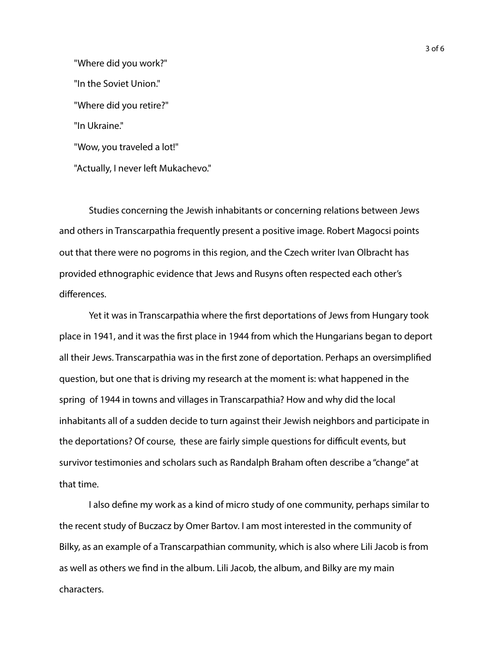"Where did you work?" "In the Soviet Union." "Where did you retire?" "In Ukraine." "Wow, you traveled a lot!" "Actually, I never left Mukachevo."

 Studies concerning the Jewish inhabitants or concerning relations between Jews and others in Transcarpathia frequently present a positive image. Robert Magocsi points out that there were no pogroms in this region, and the Czech writer Ivan Olbracht has provided ethnographic evidence that Jews and Rusyns often respected each other's differences.

 Yet it was in Transcarpathia where the frst deportations of Jews from Hungary took place in 1941, and it was the frst place in 1944 from which the Hungarians began to deport all their Jews. Transcarpathia was in the frst zone of deportation. Perhaps an oversimplifed question, but one that is driving my research at the moment is: what happened in the spring of 1944 in towns and villages in Transcarpathia? How and why did the local inhabitants all of a sudden decide to turn against their Jewish neighbors and participate in the deportations? Of course, these are fairly simple questions for difficult events, but survivor testimonies and scholars such as Randalph Braham often describe a "change" at that time.

 I also defne my work as a kind of micro study of one community, perhaps similar to the recent study of Buczacz by Omer Bartov. I am most interested in the community of Bilky, as an example of a Transcarpathian community, which is also where Lili Jacob is from as well as others we fnd in the album. Lili Jacob, the album, and Bilky are my main characters.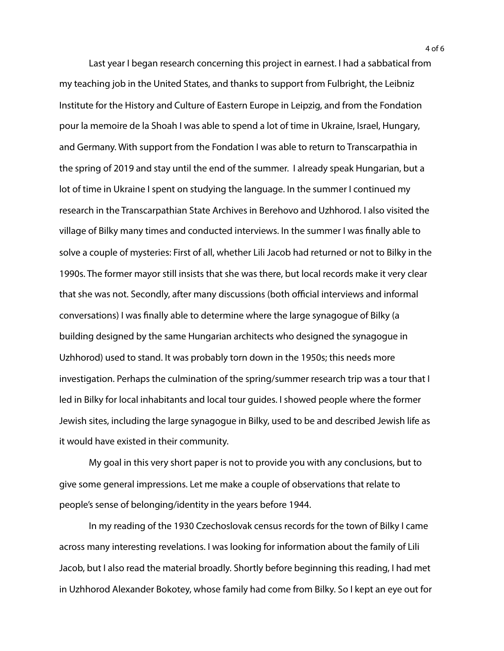Last year I began research concerning this project in earnest. I had a sabbatical from my teaching job in the United States, and thanks to support from Fulbright, the Leibniz Institute for the History and Culture of Eastern Europe in Leipzig, and from the Fondation pour la memoire de la Shoah I was able to spend a lot of time in Ukraine, Israel, Hungary, and Germany. With support from the Fondation I was able to return to Transcarpathia in the spring of 2019 and stay until the end of the summer. I already speak Hungarian, but a lot of time in Ukraine I spent on studying the language. In the summer I continued my research in the Transcarpathian State Archives in Berehovo and Uzhhorod. I also visited the village of Bilky many times and conducted interviews. In the summer I was fnally able to solve a couple of mysteries: First of all, whether Lili Jacob had returned or not to Bilky in the 1990s. The former mayor still insists that she was there, but local records make it very clear that she was not. Secondly, after many discussions (both official interviews and informal conversations) I was fnally able to determine where the large synagogue of Bilky (a building designed by the same Hungarian architects who designed the synagogue in Uzhhorod) used to stand. It was probably torn down in the 1950s; this needs more investigation. Perhaps the culmination of the spring/summer research trip was a tour that I led in Bilky for local inhabitants and local tour guides. I showed people where the former Jewish sites, including the large synagogue in Bilky, used to be and described Jewish life as it would have existed in their community.

 My goal in this very short paper is not to provide you with any conclusions, but to give some general impressions. Let me make a couple of observations that relate to people's sense of belonging/identity in the years before 1944.

 In my reading of the 1930 Czechoslovak census records for the town of Bilky I came across many interesting revelations. I was looking for information about the family of Lili Jacob, but I also read the material broadly. Shortly before beginning this reading, I had met in Uzhhorod Alexander Bokotey, whose family had come from Bilky. So I kept an eye out for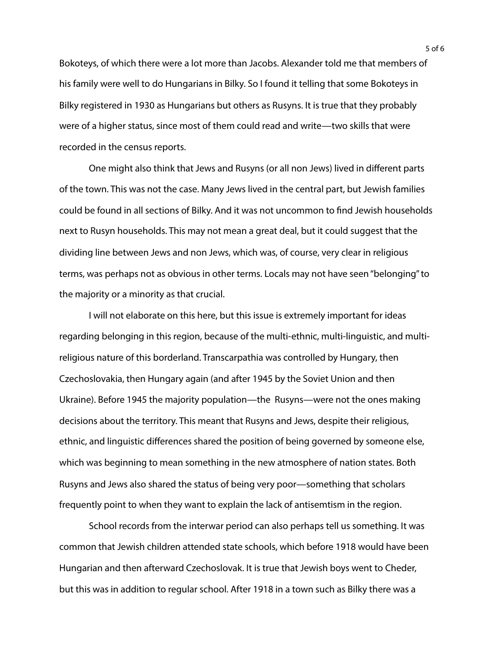Bokoteys, of which there were a lot more than Jacobs. Alexander told me that members of his family were well to do Hungarians in Bilky. So I found it telling that some Bokoteys in Bilky registered in 1930 as Hungarians but others as Rusyns. It is true that they probably were of a higher status, since most of them could read and write—two skills that were recorded in the census reports.

 One might also think that Jews and Rusyns (or all non Jews) lived in different parts of the town. This was not the case. Many Jews lived in the central part, but Jewish families could be found in all sections of Bilky. And it was not uncommon to fnd Jewish households next to Rusyn households. This may not mean a great deal, but it could suggest that the dividing line between Jews and non Jews, which was, of course, very clear in religious terms, was perhaps not as obvious in other terms. Locals may not have seen "belonging" to the majority or a minority as that crucial.

 I will not elaborate on this here, but this issue is extremely important for ideas regarding belonging in this region, because of the multi-ethnic, multi-linguistic, and multireligious nature of this borderland. Transcarpathia was controlled by Hungary, then Czechoslovakia, then Hungary again (and after 1945 by the Soviet Union and then Ukraine). Before 1945 the majority population—the Rusyns—were not the ones making decisions about the territory. This meant that Rusyns and Jews, despite their religious, ethnic, and linguistic differences shared the position of being governed by someone else, which was beginning to mean something in the new atmosphere of nation states. Both Rusyns and Jews also shared the status of being very poor—something that scholars frequently point to when they want to explain the lack of antisemtism in the region.

 School records from the interwar period can also perhaps tell us something. It was common that Jewish children attended state schools, which before 1918 would have been Hungarian and then afterward Czechoslovak. It is true that Jewish boys went to Cheder, but this was in addition to regular school. After 1918 in a town such as Bilky there was a